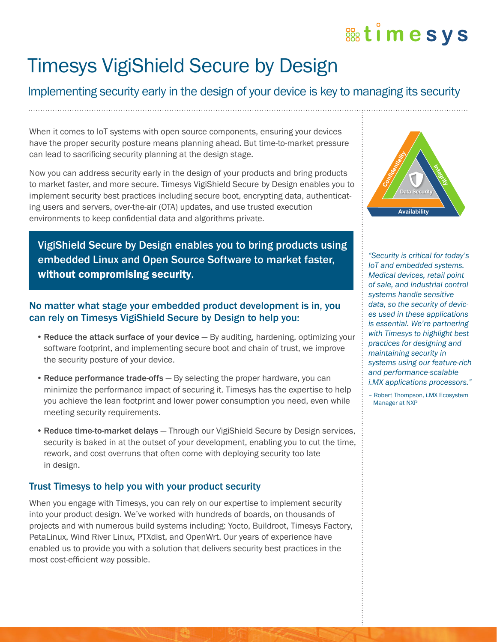# **Bootimesys**

## Timesys VigiShield Secure by Design

## Implementing security early in the design of your device is key to managing its security

When it comes to IoT systems with open source components, ensuring your devices have the proper security posture means planning ahead. But time-to-market pressure can lead to sacrificing security planning at the design stage.

Now you can address security early in the design of your products and bring products to market faster, and more secure. Timesys VigiShield Secure by Design enables you to implement security best practices including secure boot, encrypting data, authenticating users and servers, over-the-air (OTA) updates, and use trusted execution environments to keep confidential data and algorithms private.

VigiShield Secure by Design enables you to bring products using embedded Linux and Open Source Software to market faster, without compromising security.

#### No matter what stage your embedded product development is in, you can rely on Timesys VigiShield Secure by Design to help you:

- Reduce the attack surface of your device By auditing, hardening, optimizing your software footprint, and implementing secure boot and chain of trust, we improve the security posture of your device.
- Reduce performance trade-offs By selecting the proper hardware, you can minimize the performance impact of securing it. Timesys has the expertise to help you achieve the lean footprint and lower power consumption you need, even while meeting security requirements.
- Reduce time-to-market delays Through our VigiShield Secure by Design services, security is baked in at the outset of your development, enabling you to cut the time, rework, and cost overruns that often come with deploying security too late in design.

### Trust Timesys to help you with your product security

When you engage with Timesys, you can rely on our expertise to implement security into your product design. We've worked with hundreds of boards, on thousands of projects and with numerous build systems including: Yocto, Buildroot, Timesys Factory, PetaLinux, Wind River Linux, PTXdist, and OpenWrt. Our years of experience have enabled us to provide you with a solution that delivers security best practices in the most cost-efficient way possible.



*"Security is critical for today's IoT and embedded systems. Medical devices, retail point of sale, and industrial control systems handle sensitive data, so the security of devices used in these applications is essential. We're partnering with Timesys to highlight best practices for designing and maintaining security in systems using our feature-rich and performance-scalable i.MX applications processors."*

– Robert Thompson, i.MX Ecosystem Manager at NXP